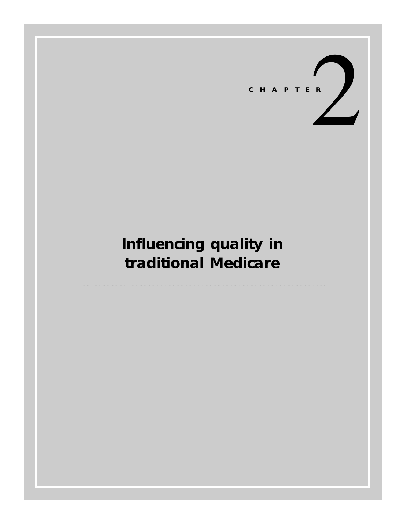

# **Influencing quality in traditional Medicare**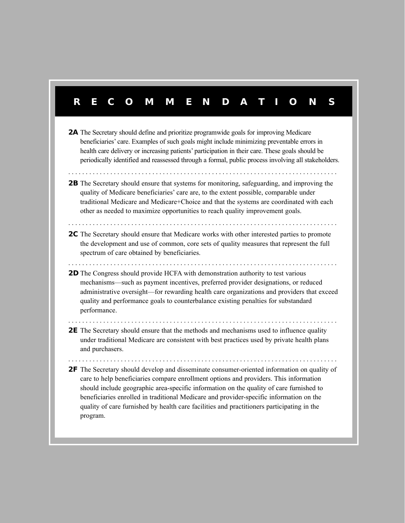# **RECOMMENDA TIONS**

- **2A** The Secretary should define and prioritize programwide goals for improving Medicare beneficiaries' care. Examples of such goals might include minimizing preventable errors in health care delivery or increasing patients' participation in their care. These goals should be periodically identified and reassessed through a formal, public process involving all stakeholders.
- **2B** The Secretary should ensure that systems for monitoring, safeguarding, and improving the quality of Medicare beneficiaries' care are, to the extent possible, comparable under traditional Medicare and Medicare+Choice and that the systems are coordinated with each other as needed to maximize opportunities to reach quality improvement goals.
- **2C** The Secretary should ensure that Medicare works with other interested parties to promote the development and use of common, core sets of quality measures that represent the full spectrum of care obtained by beneficiaries.

. . . . . . . . . . . . . . . . . . . . . . . . . . . . . . . . . . . . . . . . . . . . . . . . . . . . . . . . . . . . . . . . . . . . . . . . . . . . .

. . . . . . . . . . . . . . . . . . . . . . . . . . . . . . . . . . . . . . . . . . . . . . . . . . . . . . . . . . . . . . . . . . . . . . . . . . . . .

. . . . . . . . . . . . . . . . . . . . . . . . . . . . . . . . . . . . . . . . . . . . . . . . . . . . . . . . . . . . . . . . . . . . . . . . . . . . .

**2D** The Congress should provide HCFA with demonstration authority to test various mechanisms—such as payment incentives, preferred provider designations, or reduced administrative oversight—for rewarding health care organizations and providers that exceed quality and performance goals to counterbalance existing penalties for substandard performance.

. . . . . . . . . . . . . . . . . . . . . . . . . . . . . . . . . . . . . . . . . . . . . . . . . . . . . . . . . . . . . . . . . . . . . . . . . . . . .

**2E** The Secretary should ensure that the methods and mechanisms used to influence quality under traditional Medicare are consistent with best practices used by private health plans and purchasers.

. . . . . . . . . . . . . . . . . . . . . . . . . . . . . . . . . . . . . . . . . . . . . . . . . . . . . . . . . . . . . . . . . . . . . . . . . . . . .

**2F** The Secretary should develop and disseminate consumer-oriented information on quality of care to help beneficiaries compare enrollment options and providers. This information should include geographic area-specific information on the quality of care furnished to beneficiaries enrolled in traditional Medicare and provider-specific information on the quality of care furnished by health care facilities and practitioners participating in the program.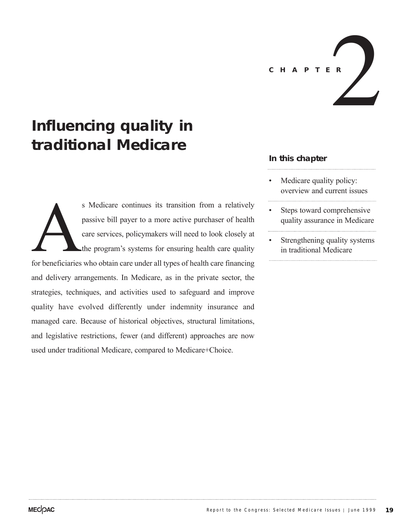

# **Influencing quality in traditional Medicare**

s Medicare continues its transition from a relatively<br>passive bill payer to a more active purchaser of health<br>care services, policymakers will need to look closely at<br>the program's systems for ensuring health care quality<br> passive bill payer to a more active purchaser of health care services, policymakers will need to look closely at the program's systems for ensuring health care quality and delivery arrangements. In Medicare, as in the private sector, the strategies, techniques, and activities used to safeguard and improve quality have evolved differently under indemnity insurance and managed care. Because of historical objectives, structural limitations, and legislative restrictions, fewer (and different) approaches are now used under traditional Medicare, compared to Medicare+Choice.

# **In this chapter**

- Medicare quality policy: overview and current issues
- Steps toward comprehensive quality assurance in Medicare
- Strengthening quality systems in traditional Medicare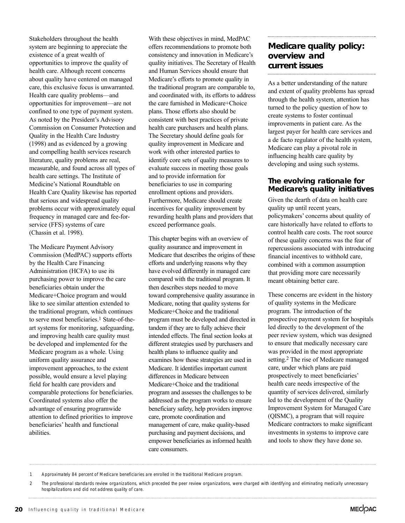Stakeholders throughout the health system are beginning to appreciate the existence of a great wealth of opportunities to improve the quality of health care. Although recent concerns about quality have centered on managed care, this exclusive focus is unwarranted. Health care quality problems—and opportunities for improvement—are not confined to one type of payment system. As noted by the President's Advisory Commission on Consumer Protection and Quality in the Health Care Industry (1998) and as evidenced by a growing and compelling health services research literature, quality problems are real, measurable, and found across all types of health care settings. The Institute of Medicine's National Roundtable on Health Care Quality likewise has reported that serious and widespread quality problems occur with approximately equal frequency in managed care and fee-forservice (FFS) systems of care (Chassin et al. 1998).

The Medicare Payment Advisory Commission (MedPAC) supports efforts by the Health Care Financing Administration (HCFA) to use its purchasing power to improve the care beneficiaries obtain under the Medicare+Choice program and would like to see similar attention extended to the traditional program, which continues to serve most beneficiaries.<sup>1</sup> State-of-theart systems for monitoring, safeguarding, and improving health care quality must be developed and implemented for the Medicare program as a whole. Using uniform quality assurance and improvement approaches, to the extent possible, would ensure a level playing field for health care providers and comparable protections for beneficiaries. Coordinated systems also offer the advantage of ensuring programwide attention to defined priorities to improve beneficiaries' health and functional abilities.

With these objectives in mind, MedPAC offers recommendations to promote both consistency and innovation in Medicare's quality initiatives. The Secretary of Health and Human Services should ensure that Medicare's efforts to promote quality in the traditional program are comparable to, and coordinated with, its efforts to address the care furnished in Medicare+Choice plans. Those efforts also should be consistent with best practices of private health care purchasers and health plans. The Secretary should define goals for quality improvement in Medicare and work with other interested parties to identify core sets of quality measures to evaluate success in meeting those goals and to provide information for beneficiaries to use in comparing enrollment options and providers. Furthermore, Medicare should create incentives for quality improvement by rewarding health plans and providers that exceed performance goals.

This chapter begins with an overview of quality assurance and improvement in Medicare that describes the origins of these efforts and underlying reasons why they have evolved differently in managed care compared with the traditional program. It then describes steps needed to move toward comprehensive quality assurance in Medicare, noting that quality systems for Medicare+Choice and the traditional program must be developed and directed in tandem if they are to fully achieve their intended effects. The final section looks at different strategies used by purchasers and health plans to influence quality and examines how those strategies are used in Medicare. It identifies important current differences in Medicare between Medicare+Choice and the traditional program and assesses the challenges to be addressed as the program works to ensure beneficiary safety, help providers improve care, promote coordination and management of care, make quality-based purchasing and payment decisions, and empower beneficiaries as informed health care consumers.

# **Medicare quality policy: overview and current issues**

As a better understanding of the nature and extent of quality problems has spread through the health system, attention has turned to the policy question of how to create systems to foster continual improvements in patient care. As the largest payer for health care services and a de facto regulator of the health system, Medicare can play a pivotal role in influencing health care quality by developing and using such systems.

# **The evolving rationale for Medicare's quality initiatives**

Given the dearth of data on health care quality up until recent years, policymakers' concerns about quality of care historically have related to efforts to control health care costs. The root source of these quality concerns was the fear of repercussions associated with introducing financial incentives to withhold care, combined with a common assumption that providing more care necessarily meant obtaining better care.

These concerns are evident in the history of quality systems in the Medicare program. The introduction of the prospective payment system for hospitals led directly to the development of the peer review system, which was designed to ensure that medically necessary care was provided in the most appropriate setting.2 The rise of Medicare managed care, under which plans are paid prospectively to meet beneficiaries' health care needs irrespective of the quantity of services delivered, similarly led to the development of the Quality Improvement System for Managed Care (QISMC), a program that will require Medicare contractors to make significant investments in systems to improve care and tools to show they have done so.

1 Approximately 84 percent of Medicare beneficiaries are enrolled in the traditional Medicare program.

<sup>2</sup> The professional standards review organizations, which preceded the peer review organizations, were charged with identifying and eliminating medically unnecessary hospitalizations and did not address quality of care.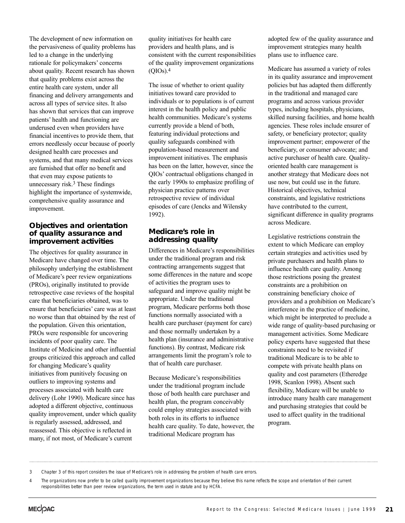The development of new information on the pervasiveness of quality problems has led to a change in the underlying rationale for policymakers' concerns about quality. Recent research has shown that quality problems exist across the entire health care system, under all financing and delivery arrangements and across all types of service sites. It also has shown that services that can improve patients' health and functioning are underused even when providers have financial incentives to provide them, that errors needlessly occur because of poorly designed health care processes and systems, and that many medical services are furnished that offer no benefit and that even may expose patients to unnecessary risk.3 These findings highlight the importance of systemwide, comprehensive quality assurance and improvement.

#### **Objectives and orientation of quality assurance and improvement activities**

The objectives for quality assurance in Medicare have changed over time. The philosophy underlying the establishment of Medicare's peer review organizations (PROs), originally instituted to provide retrospective case reviews of the hospital care that beneficiaries obtained, was to ensure that beneficiaries' care was at least no worse than that obtained by the rest of the population. Given this orientation, PROs were responsible for uncovering incidents of poor quality care. The Institute of Medicine and other influential groups criticized this approach and called for changing Medicare's quality initiatives from punitively focusing on outliers to improving systems and processes associated with health care delivery (Lohr 1990). Medicare since has adopted a different objective, continuous quality improvement, under which quality is regularly assessed, addressed, and reassessed. This objective is reflected in many, if not most, of Medicare's current

quality initiatives for health care providers and health plans, and is consistent with the current responsibilities of the quality improvement organizations  $(OIOs).4$ 

The issue of whether to orient quality initiatives toward care provided to individuals or to populations is of current interest in the health policy and public health communities. Medicare's systems currently provide a blend of both, featuring individual protections and quality safeguards combined with population-based measurement and improvement initiatives. The emphasis has been on the latter, however, since the QIOs' contractual obligations changed in the early 1990s to emphasize profiling of physician practice patterns over retrospective review of individual episodes of care (Jencks and Wilensky 1992).

# **Medicare's role in addressing quality**

Differences in Medicare's responsibilities under the traditional program and risk contracting arrangements suggest that some differences in the nature and scope of activities the program uses to safeguard and improve quality might be appropriate. Under the traditional program, Medicare performs both those functions normally associated with a health care purchaser (payment for care) and those normally undertaken by a health plan (insurance and administrative functions). By contrast, Medicare risk arrangements limit the program's role to that of health care purchaser.

Because Medicare's responsibilities under the traditional program include those of both health care purchaser and health plan, the program conceivably could employ strategies associated with both roles in its efforts to influence health care quality. To date, however, the traditional Medicare program has

adopted few of the quality assurance and improvement strategies many health plans use to influence care.

Medicare has assumed a variety of roles in its quality assurance and improvement policies but has adapted them differently in the traditional and managed care programs and across various provider types, including hospitals, physicians, skilled nursing facilities, and home health agencies. These roles include ensurer of safety, or beneficiary protector; quality improvement partner; empowerer of the beneficiary, or consumer advocate; and active purchaser of health care. Qualityoriented health care management is another strategy that Medicare does not use now, but could use in the future. Historical objectives, technical constraints, and legislative restrictions have contributed to the current, significant difference in quality programs across Medicare.

Legislative restrictions constrain the extent to which Medicare can employ certain strategies and activities used by private purchasers and health plans to influence health care quality. Among those restrictions posing the greatest constraints are a prohibition on constraining beneficiary choice of providers and a prohibition on Medicare's interference in the practice of medicine, which might be interpreted to preclude a wide range of quality-based purchasing or management activities. Some Medicare policy experts have suggested that these constraints need to be revisited if traditional Medicare is to be able to compete with private health plans on quality and cost parameters (Etheredge 1998, Scanlon 1998). Absent such flexibility, Medicare will be unable to introduce many health care management and purchasing strategies that could be used to affect quality in the traditional program.

<sup>3</sup> Chapter 3 of this report considers the issue of Medicare's role in addressing the problem of health care errors.

<sup>4</sup> The organizations now prefer to be called quality improvement organizations because they believe this name reflects the scope and orientation of their current responsibilities better than peer review organizations, the term used in statute and by HCFA.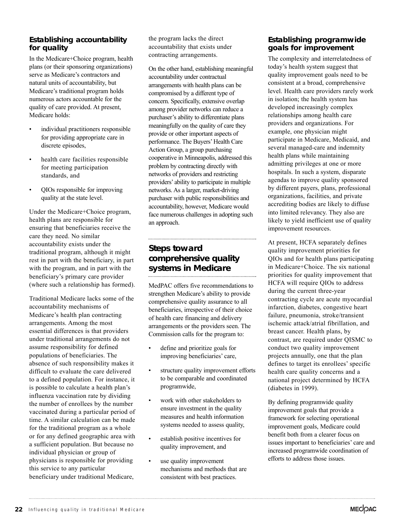# **Establishing accountability for quality**

In the Medicare+Choice program, health plans (or their sponsoring organizations) serve as Medicare's contractors and natural units of accountability, but Medicare's traditional program holds numerous actors accountable for the quality of care provided. At present, Medicare holds:

- individual practitioners responsible for providing appropriate care in discrete episodes,
- health care facilities responsible for meeting participation standards, and
- QIOs responsible for improving quality at the state level.

Under the Medicare+Choice program, health plans are responsible for ensuring that beneficiaries receive the care they need. No similar accountability exists under the traditional program, although it might rest in part with the beneficiary, in part with the program, and in part with the beneficiary's primary care provider (where such a relationship has formed).

Traditional Medicare lacks some of the accountability mechanisms of Medicare's health plan contracting arrangements. Among the most essential differences is that providers under traditional arrangements do not assume responsibility for defined populations of beneficiaries. The absence of such responsibility makes it difficult to evaluate the care delivered to a defined population. For instance, it is possible to calculate a health plan's influenza vaccination rate by dividing the number of enrollees by the number vaccinated during a particular period of time. A similar calculation can be made for the traditional program as a whole or for any defined geographic area with a sufficient population. But because no individual physician or group of physicians is responsible for providing this service to any particular beneficiary under traditional Medicare,

the program lacks the direct accountability that exists under contracting arrangements.

On the other hand, establishing meaningful accountability under contractual arrangements with health plans can be compromised by a different type of concern. Specifically, extensive overlap among provider networks can reduce a purchaser's ability to differentiate plans meaningfully on the quality of care they provide or other important aspects of performance. The Buyers' Health Care Action Group, a group purchasing cooperative in Minneapolis, addressed this problem by contracting directly with networks of providers and restricting providers' ability to participate in multiple networks. As a larger, market-driving purchaser with public responsibilities and accountability, however, Medicare would face numerous challenges in adopting such an approach.

# **Steps toward comprehensive quality systems in Medicare**

MedPAC offers five recommendations to strengthen Medicare's ability to provide comprehensive quality assurance to all beneficiaries, irrespective of their choice of health care financing and delivery arrangements or the providers seen. The Commission calls for the program to:

- define and prioritize goals for improving beneficiaries' care,
- structure quality improvement efforts to be comparable and coordinated programwide,
- work with other stakeholders to ensure investment in the quality measures and health information systems needed to assess quality,
- establish positive incentives for quality improvement, and
- use quality improvement mechanisms and methods that are consistent with best practices.

# **Establishing programwide goals for improvement**

The complexity and interrelatedness of today's health system suggest that quality improvement goals need to be consistent at a broad, comprehensive level. Health care providers rarely work in isolation; the health system has developed increasingly complex relationships among health care providers and organizations. For example, one physician might participate in Medicare, Medicaid, and several managed-care and indemnity health plans while maintaining admitting privileges at one or more hospitals. In such a system, disparate agendas to improve quality sponsored by different payers, plans, professional organizations, facilities, and private accrediting bodies are likely to diffuse into limited relevancy. They also are likely to yield inefficient use of quality improvement resources.

At present, HCFA separately defines quality improvement priorities for QIOs and for health plans participating in Medicare+Choice. The six national priorities for quality improvement that HCFA will require QIOs to address during the current three-year contracting cycle are acute myocardial infarction, diabetes, congestive heart failure, pneumonia, stroke/transient ischemic attack/atrial fibrillation, and breast cancer. Health plans, by contrast, are required under QISMC to conduct two quality improvement projects annually, one that the plan defines to target its enrollees' specific health care quality concerns and a national project determined by HCFA (diabetes in 1999).

By defining programwide quality improvement goals that provide a framework for selecting operational improvement goals, Medicare could benefit both from a clearer focus on issues important to beneficiaries' care and increased programwide coordination of efforts to address those issues.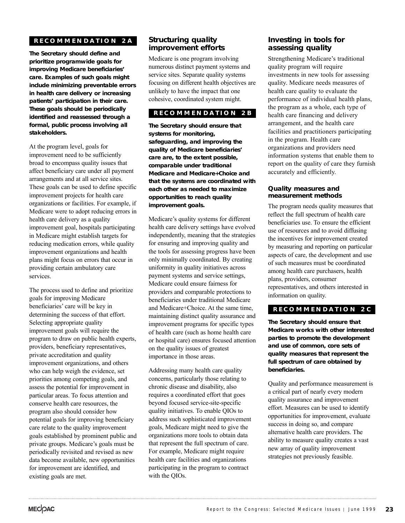# **RECOMMENDA TION 2A**

**The Secretary should define and prioritize programwide goals for improving Medicare beneficiaries' care. Examples of such goals might include minimizing preventable errors in health care delivery or increasing patients' participation in their care. These goals should be periodically identified and reassessed through a formal, public process involving all stakeholders.** 

At the program level, goals for improvement need to be sufficiently broad to encompass quality issues that affect beneficiary care under all payment arrangements and at all service sites. These goals can be used to define specific improvement projects for health care organizations or facilities. For example, if Medicare were to adopt reducing errors in health care delivery as a quality improvement goal, hospitals participating in Medicare might establish targets for reducing medication errors, while quality improvement organizations and health plans might focus on errors that occur in providing certain ambulatory care services.

The process used to define and prioritize goals for improving Medicare beneficiaries' care will be key in determining the success of that effort. Selecting appropriate quality improvement goals will require the program to draw on public health experts, providers, beneficiary representatives, private accreditation and quality improvement organizations, and others who can help weigh the evidence, set priorities among competing goals, and assess the potential for improvement in particular areas. To focus attention and conserve health care resources, the program also should consider how potential goals for improving beneficiary care relate to the quality improvement goals established by prominent public and private groups. Medicare's goals must be periodically revisited and revised as new data become available, new opportunities for improvement are identified, and existing goals are met.

#### **Structuring quality improvement efforts**

Medicare is one program involving numerous distinct payment systems and service sites. Separate quality systems focusing on different health objectives are unlikely to have the impact that one cohesive, coordinated system might.

#### **RECOMMENDA TION 2B**

**The Secretary should ensure that systems for monitoring, safeguarding, and improving the quality of Medicare beneficiaries' care are, to the extent possible, comparable under traditional Medicare and Medicare+Choice and that the systems are coordinated with each other as needed to maximize opportunities to reach quality improvement goals.**

Medicare's quality systems for different health care delivery settings have evolved independently, meaning that the strategies for ensuring and improving quality and the tools for assessing progress have been only minimally coordinated. By creating uniformity in quality initiatives across payment systems and service settings, Medicare could ensure fairness for providers and comparable protections to beneficiaries under traditional Medicare and Medicare+Choice. At the same time, maintaining distinct quality assurance and improvement programs for specific types of health care (such as home health care or hospital care) ensures focused attention on the quality issues of greatest importance in those areas.

Addressing many health care quality concerns, particularly those relating to chronic disease and disability, also requires a coordinated effort that goes beyond focused service-site-specific quality initiatives. To enable QIOs to address such sophisticated improvement goals, Medicare might need to give the organizations more tools to obtain data that represent the full spectrum of care. For example, Medicare might require health care facilities and organizations participating in the program to contract with the QIOs.

### **Investing in tools for assessing quality**

Strengthening Medicare's traditional quality program will require investments in new tools for assessing quality. Medicare needs measures of health care quality to evaluate the performance of individual health plans, the program as a whole, each type of health care financing and delivery arrangement, and the health care facilities and practitioners participating in the program. Health care organizations and providers need information systems that enable them to report on the quality of care they furnish accurately and efficiently.

#### **Quality measures and measurement methods**

The program needs quality measures that reflect the full spectrum of health care beneficiaries use. To ensure the efficient use of resources and to avoid diffusing the incentives for improvement created by measuring and reporting on particular aspects of care, the development and use of such measures must be coordinated among health care purchasers, health plans, providers, consumer representatives, and others interested in information on quality.

# **RECOMMENDA TION 2C**

**The Secretary should ensure that Medicare works with other interested parties to promote the development and use of common, core sets of quality measures that represent the full spectrum of care obtained by beneficiaries.**

Quality and performance measurement is a critical part of nearly every modern quality assurance and improvement effort. Measures can be used to identify opportunities for improvement, evaluate success in doing so, and compare alternative health care providers. The ability to measure quality creates a vast new array of quality improvement strategies not previously feasible.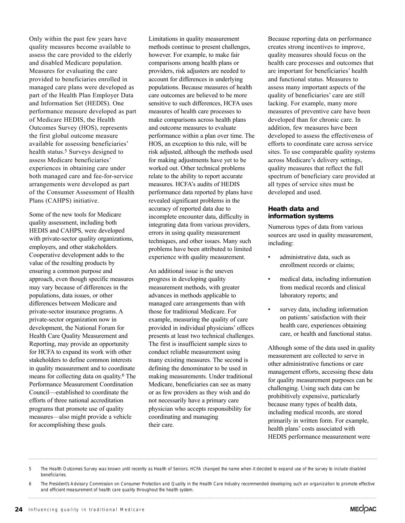Only within the past few years have quality measures become available to assess the care provided to the elderly and disabled Medicare population. Measures for evaluating the care provided to beneficiaries enrolled in managed care plans were developed as part of the Health Plan Employer Data and Information Set (HEDIS). One performance measure developed as part of Medicare HEDIS, the Health Outcomes Survey (HOS), represents the first global outcome measure available for assessing beneficiaries' health status.<sup>5</sup> Surveys designed to assess Medicare beneficiaries' experiences in obtaining care under both managed care and fee-for-service arrangements were developed as part of the Consumer Assessment of Health Plans (CAHPS) initiative.

Some of the new tools for Medicare quality assessment, including both HEDIS and CAHPS, were developed with private-sector quality organizations, employers, and other stakeholders. Cooperative development adds to the value of the resulting products by ensuring a common purpose and approach, even though specific measures may vary because of differences in the populations, data issues, or other differences between Medicare and private-sector insurance programs. A private-sector organization now in development, the National Forum for Health Care Quality Measurement and Reporting, may provide an opportunity for HCFA to expand its work with other stakeholders to define common interests in quality measurement and to coordinate means for collecting data on quality. 6 The Performance Measurement Coordination Council—established to coordinate the efforts of three national accreditation programs that promote use of quality measures—also might provide a vehicle for accomplishing these goals.

Limitations in quality measurement methods continue to present challenges, however. For example, to make fair comparisons among health plans or providers, risk adjusters are needed to account for differences in underlying populations. Because measures of health care outcomes are believed to be more sensitive to such differences, HCFA uses measures of health care processes to make comparisons across health plans and outcome measures to evaluate performance within a plan over time. The HOS, an exception to this rule, will be risk adjusted, although the methods used for making adjustments have yet to be worked out. Other technical problems relate to the ability to report accurate measures. HCFA's audits of HEDIS performance data reported by plans have revealed significant problems in the accuracy of reported data due to incomplete encounter data, difficulty in integrating data from various providers, errors in using quality measurement techniques, and other issues. Many such problems have been attributed to limited experience with quality measurement.

An additional issue is the uneven progress in developing quality measurement methods, with greater advances in methods applicable to managed care arrangements than with those for traditional Medicare. For example, measuring the quality of care provided in individual physicians' offices presents at least two technical challenges. The first is insufficient sample sizes to conduct reliable measurement using many existing measures. The second is defining the denominator to be used in making measurements. Under traditional Medicare, beneficiaries can see as many or as few providers as they wish and do not necessarily have a primary care physician who accepts responsibility for coordinating and managing their care.

Because reporting data on performance creates strong incentives to improve, quality measures should focus on the health care processes and outcomes that are important for beneficiaries' health and functional status. Measures to assess many important aspects of the quality of beneficiaries' care are still lacking. For example, many more measures of preventive care have been developed than for chronic care. In addition, few measures have been developed to assess the effectiveness of efforts to coordinate care across service sites. To use comparable quality systems across Medicare's delivery settings, quality measures that reflect the full spectrum of beneficiary care provided at all types of service sites must be developed and used.

#### **Heath data and information systems**

Numerous types of data from various sources are used in quality measurement, including:

- administrative data, such as enrollment records or claims;
- medical data, including information from medical records and clinical laboratory reports; and
- survey data, including information on patients'satisfaction with their health care, experiences obtaining care, or health and functional status.

Although some of the data used in quality measurement are collected to serve in other administrative functions or care management efforts, accessing these data for quality measurement purposes can be challenging. Using such data can be prohibitively expensive, particularly because many types of health data, including medical records, are stored primarily in written form. For example, health plans' costs associated with HEDIS performance measurement were

5 The Health Outcomes Survey was known until recently as Health of Seniors. HCFA changed the name when it decided to expand use of the survey to include disabled beneficiaries.

6 The President's Advisory Commission on Consumer Protection and Quality in the Health Care Industry recommended developing such an organization to promote effective and efficient measurement of health care quality throughout the health system.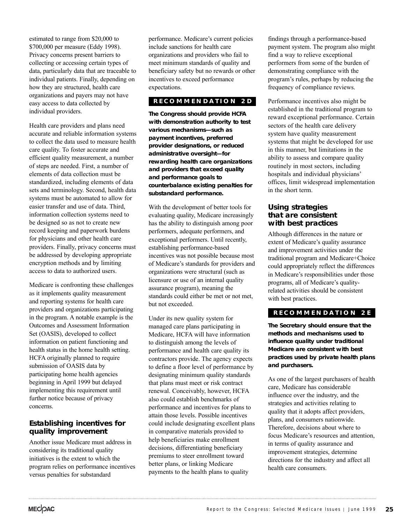estimated to range from \$20,000 to \$700,000 per measure (Eddy 1998). Privacy concerns present barriers to collecting or accessing certain types of data, particularly data that are traceable to individual patients. Finally, depending on how they are structured, health care organizations and payers may not have easy access to data collected by individual providers.

Health care providers and plans need accurate and reliable information systems to collect the data used to measure health care quality. To foster accurate and efficient quality measurement, a number of steps are needed. First, a number of elements of data collection must be standardized, including elements of data sets and terminology. Second, health data systems must be automated to allow for easier transfer and use of data. Third, information collection systems need to be designed so as not to create new record keeping and paperwork burdens for physicians and other health care providers. Finally, privacy concerns must be addressed by developing appropriate encryption methods and by limiting access to data to authorized users.

Medicare is confronting these challenges as it implements quality measurement and reporting systems for health care providers and organizations participating in the program. A notable example is the Outcomes and Assessment Information Set (OASIS), developed to collect information on patient functioning and health status in the home health setting. HCFA originally planned to require submission of OASIS data by participating home health agencies beginning in April 1999 but delayed implementing this requirement until further notice because of privacy concerns.

# **Establishing incentives for quality improvement**

Another issue Medicare must address in considering its traditional quality initiatives is the extent to which the program relies on performance incentives versus penalties for substandard

performance. Medicare's current policies include sanctions for health care organizations and providers who fail to meet minimum standards of quality and beneficiary safety but no rewards or other incentives to exceed performance expectations.

# **RECOMMENDA TION 2D**

**The Congress should provide HCFA with demonstration authority to test various mechanisms—such as payment incentives, preferred provider designations, or reduced administrative oversight—for rewarding health care organizations and providers that exceed quality and performance goals to counterbalance existing penalties for substandard performance.**

With the development of better tools for evaluating quality, Medicare increasingly has the ability to distinguish among poor performers, adequate performers, and exceptional performers. Until recently, establishing performance-based incentives was not possible because most of Medicare's standards for providers and organizations were structural (such as licensure or use of an internal quality assurance program), meaning the standards could either be met or not met, but not exceeded.

Under its new quality system for managed care plans participating in Medicare, HCFA will have information to distinguish among the levels of performance and health care quality its contractors provide. The agency expects to define a floor level of performance by designating minimum quality standards that plans must meet or risk contract renewal. Conceivably, however, HCFA also could establish benchmarks of performance and incentives for plans to attain those levels. Possible incentives could include designating excellent plans in comparative materials provided to help beneficiaries make enrollment decisions, differentiating beneficiary premiums to steer enrollment toward better plans, or linking Medicare payments to the health plans to quality

findings through a performance-based payment system. The program also might find a way to relieve exceptional performers from some of the burden of demonstrating compliance with the program's rules, perhaps by reducing the frequency of compliance reviews.

Performance incentives also might be established in the traditional program to reward exceptional performance. Certain sectors of the health care delivery system have quality measurement systems that might be developed for use in this manner, but limitations in the ability to assess and compare quality routinely in most sectors, including hospitals and individual physicians' offices, limit widespread implementation in the short term.

#### **Using strategies that are consistent with best practices**

Although differences in the nature or extent of Medicare's quality assurance and improvement activities under the traditional program and Medicare+Choice could appropriately reflect the differences in Medicare's responsibilities under those programs, all of Medicare's qualityrelated activities should be consistent with best practices.

# **RECOMMENDA TION 2E**

**The Secretary should ensure that the methods and mechanisms used to influence quality under traditional Medicare are consistent with best practices used by private health plans and purchasers.**

As one of the largest purchasers of health care, Medicare has considerable influence over the industry, and the strategies and activities relating to quality that it adopts affect providers, plans, and consumers nationwide. Therefore, decisions about where to focus Medicare's resources and attention, in terms of quality assurance and improvement strategies, determine directions for the industry and affect all health care consumers.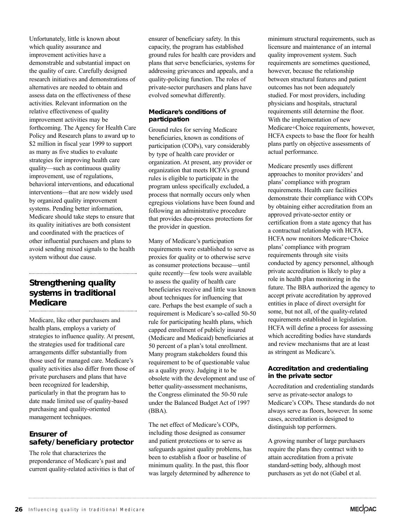Unfortunately, little is known about which quality assurance and improvement activities have a demonstrable and substantial impact on the quality of care. Carefully designed research initiatives and demonstrations of alternatives are needed to obtain and assess data on the effectiveness of these activities. Relevant information on the relative effectiveness of quality improvement activities may be forthcoming. The Agency for Health Care Policy and Research plans to award up to \$2 million in fiscal year 1999 to support as many as five studies to evaluate strategies for improving health care quality—such as continuous quality improvement, use of regulations, behavioral interventions, and educational interventions—that are now widely used by organized quality improvement systems. Pending better information, Medicare should take steps to ensure that its quality initiatives are both consistent and coordinated with the practices of other influential purchasers and plans to avoid sending mixed signals to the health system without due cause.

### **Strengthening quality systems in traditional Medicare**

Medicare, like other purchasers and health plans, employs a variety of strategies to influence quality. At present, the strategies used for traditional care arrangements differ substantially from those used for managed care. Medicare's quality activities also differ from those of private purchasers and plans that have been recognized for leadership, particularly in that the program has to date made limited use of quality-based purchasing and quality-oriented management techniques.

### **Ensurer of safety/beneficiary protector**

The role that characterizes the preponderance of Medicare's past and current quality-related activities is that of ensurer of beneficiary safety. In this capacity, the program has established ground rules for health care providers and plans that serve beneficiaries, systems for addressing grievances and appeals, and a quality-policing function. The roles of private-sector purchasers and plans have evolved somewhat differently.

#### **Medicare's conditions of participation**

Ground rules for serving Medicare beneficiaries, known as conditions of participation (COPs), vary considerably by type of health care provider or organization. At present, any provider or organization that meets HCFA's ground rules is eligible to participate in the program unless specifically excluded, a process that normally occurs only when egregious violations have been found and following an administrative procedure that provides due-process protections for the provider in question.

Many of Medicare's participation requirements were established to serve as proxies for quality or to otherwise serve as consumer protections because—until quite recently—few tools were available to assess the quality of health care beneficiaries receive and little was known about techniques for influencing that care. Perhaps the best example of such a requirement is Medicare's so-called 50-50 rule for participating health plans, which capped enrollment of publicly insured (Medicare and Medicaid) beneficiaries at 50 percent of a plan's total enrollment. Many program stakeholders found this requirement to be of questionable value as a quality proxy. Judging it to be obsolete with the development and use of better quality-assessment mechanisms, the Congress eliminated the 50-50 rule under the Balanced Budget Act of 1997 (BBA).

The net effect of Medicare's COPs, including those designed as consumer and patient protections or to serve as safeguards against quality problems, has been to establish a floor or baseline of minimum quality. In the past, this floor was largely determined by adherence to

minimum structural requirements, such as licensure and maintenance of an internal quality improvement system. Such requirements are sometimes questioned, however, because the relationship between structural features and patient outcomes has not been adequately studied. For most providers, including physicians and hospitals, structural requirements still determine the floor. With the implementation of new Medicare+Choice requirements, however, HCFA expects to base the floor for health plans partly on objective assessments of actual performance.

Medicare presently uses different approaches to monitor providers' and plans' compliance with program requirements. Health care facilities demonstrate their compliance with COPs by obtaining either accreditation from an approved private-sector entity or certification from a state agency that has a contractual relationshp with HCFA. HCFA now monitors Medicare+Choice plans' compliance with program requirements through site visits conducted by agency personnel, although private accreditation is likely to play a role in health plan monitoring in the future. The BBA authorized the agency to accept private accreditation by approved entities in place of direct oversight for some, but not all, of the quality-related requirements established in legislation. HCFA will define a process for assessing which accrediting bodies have standards and review mechanisms that are at least as stringent as Medicare's.

#### **Accreditation and credentialing in the private sector**

Accreditation and credentialing standards serve as private-sector analogs to Medicare's COPs. These standards do not always serve as floors, however. In some cases, accreditation is designed to distinguish top performers.

A growing number of large purchasers require the plans they contract with to attain accreditation from a private standard-setting body, although most purchasers as yet do not (Gabel et al.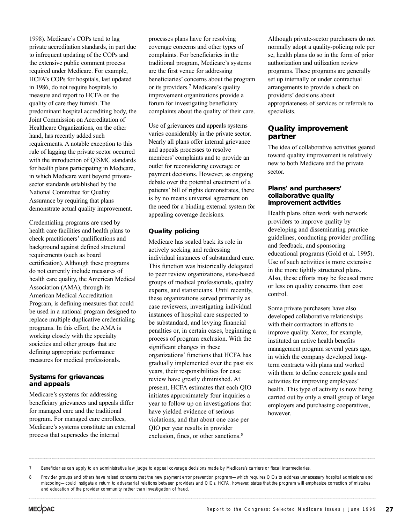1998). Medicare's COPs tend to lag private accreditation standards, in part due to infrequent updating of the COPs and the extensive public comment process required under Medicare. For example, HCFA's COPs for hospitals, last updated in 1986, do not require hospitals to measure and report to HCFA on the quality of care they furnish. The predominant hospital accrediting body, the Joint Commission on Accreditation of Healthcare Organizations, on the other hand, has recently added such requirements. A notable exception to this rule of lagging the private sector occurred with the introduction of QISMC standards for health plans participating in Medicare, in which Medicare went beyond privatesector standards established by the National Committee for Quality Assurance by requiring that plans demonstrate actual quality improvement.

Credentialing programs are used by health care facilities and health plans to check practitioners' qualifications and background against defined structural requirements (such as board certification). Although these programs do not currently include measures of health care quality, the American Medical Association (AMA), through its American Medical Accreditation Program, is defining measures that could be used in a national program designed to replace multiple duplicative credentialing programs. In this effort, the AMA is working closely with the specialty societies and other groups that are defining appropriate performance measures for medical professionals.

#### **Systems for grievances and appeals**

Medicare's systems for addressing beneficiary grievances and appeals differ for managed care and the traditional program. For managed care enrollees, Medicare's systems constitute an external process that supersedes the internal

processes plans have for resolving coverage concerns and other types of complaints. For beneficiaries in the traditional program, Medicare's systems are the first venue for addressing beneficiaries' concerns about the program or its providers.7 Medicare's quality improvement organizations provide a forum for investigating beneficiary complaints about the quality of their care.

Use of grievances and appeals systems varies considerably in the private sector. Nearly all plans offer internal grievance and appeals processes to resolve members' complaints and to provide an outlet for reconsidering coverage or payment decisions. However, as ongoing debate over the potential enactment of a patients' bill of rights demonstrates, there is by no means universal agreement on the need for a binding external system for appealing coverage decisions.

#### **Quality policing**

Medicare has scaled back its role in actively seeking and redressing individual instances of substandard care. This function was historically delegated to peer review organizations, state-based groups of medical professionals, quality experts, and statisticians. Until recently, these organizations served primarily as case reviewers, investigating individual instances of hospital care suspected to be substandard, and levying financial penalties or, in certain cases, beginning a process of program exclusion. With the significant changes in these organizations' functions that HCFA has gradually implemented over the past six years, their responsibilities for case review have greatly diminished. At present, HCFA estimates that each QIO initiates approximately four inquiries a year to follow up on investigations that have yielded evidence of serious violations, and that about one case per QIO per year results in provider exclusion, fines, or other sanctions.<sup>8</sup>

Although private-sector purchasers do not normally adopt a quality-policing role per se, health plans do so in the form of prior authorization and utilization review programs. These programs are generally set up internally or under contractual arrangements to provide a check on providers' decisions about appropriateness of services or referrals to specialists.

#### **Quality improvement partner**

The idea of collaborative activities geared toward quality improvement is relatively new to both Medicare and the private sector.

#### **Plans' and purchasers' collaborative quality improvement activities**

Health plans often work with network providers to improve quality by developing and disseminating practice guidelines, conducting provider profiling and feedback, and sponsoring educational programs (Gold et al. 1995). Use of such activities is more extensive in the more tightly structured plans. Also, these efforts may be focused more or less on quality concerns than cost control.

Some private purchasers have also developed collaborative relationships with their contractors in efforts to improve quality. Xerox, for example, instituted an active health benefits management program several years ago, in which the company developed longterm contracts with plans and worked with them to define concrete goals and activities for improving employees' health. This type of activity is now being carried out by only a small group of large employers and purchasing cooperatives, however.

<sup>7</sup> Beneficiaries can apply to an administrative law judge to appeal coverage decisions made by Medicare's carriers or fiscal intermediaries.

<sup>8</sup> Provider groups and others have raised concerns that the new payment error prevention program—which requires QIOs to address unnecessary hospital admissions and miscoding—could instigate a return to adversarial relations between providers and QIOs. HCFA, however, states that the program will emphasize correction of mistakes and education of the provider community rather than investigation of fraud.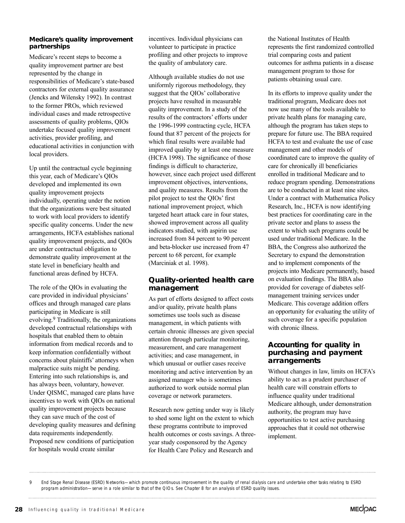#### **Medicare's quality improvement partnerships**

Medicare's recent steps to become a quality improvement partner are best represented by the change in responsibilities of Medicare's state-based contractors for external quality assurance (Jencks and Wilensky 1992). In contrast to the former PROs, which reviewed individual cases and made retrospective assessments of quality problems, QIOs undertake focused quality improvement activities, provider profiling, and educational activities in conjunction with local providers.

Up until the contractual cycle beginning this year, each of Medicare's QIOs developed and implemented its own quality improvement projects individually, operating under the notion that the organizations were best situated to work with local providers to identify specific quality concerns. Under the new arrangements, HCFA establishes national quality improvement projects, and QIOs are under contractual obligation to demonstrate quality improvement at the state level in beneficiary health and functional areas defined by HCFA.

The role of the QIOs in evaluating the care provided in individual physicians' offices and through managed care plans participating in Medicare is still evolving.9 Traditionally, the organizations developed contractual relationships with hospitals that enabled them to obtain information from medical records and to keep information confidentially without concerns about plaintiffs' attorneys when malpractice suits might be pending. Entering into such relationships is, and has always been, voluntary, however. Under QISMC, managed care plans have incentives to work with QIOs on national quality improvement projects because they can save much of the cost of developing quality measures and defining data requirements independently. Proposed new conditions of participation for hospitals would create similar

incentives. Individual physicians can volunteer to participate in practice profiling and other projects to improve the quality of ambulatory care.

Although available studies do not use uniformly rigorous methodology, they suggest that the QIOs' collaborative projects have resulted in measurable quality improvement. In a study of the results of the contractors' efforts under the 1996-1999 contracting cycle, HCFA found that 87 percent of the projects for which final results were available had improved quality by at least one measure (HCFA 1998). The significance of those findings is difficult to characterize, however, since each project used different improvement objectives, interventions, and quality measures. Results from the pilot project to test the QIOs' first national improvement project, which targeted heart attack care in four states, showed improvement across all quality indicators studied, with aspirin use increased from 84 percent to 90 percent and beta-blocker use increased from 47 percent to 68 percent, for example (Marciniak et al. 1998).

# **Quality-oriented health care management**

As part of efforts designed to affect costs and/or quality, private health plans sometimes use tools such as disease management, in which patients with certain chronic illnesses are given special attention through particular monitoring, measurement, and care management activities; and case management, in which unusual or outlier cases receive monitoring and active intervention by an assigned manager who is sometimes authorized to work outside normal plan coverage or network parameters.

Research now getting under way is likely to shed some light on the extent to which these programs contribute to improved health outcomes or costs savings. A threeyear study cosponsored by the Agency for Health Care Policy and Research and

the National Institutes of Health represents the first randomized controlled trial comparing costs and patient outcomes for asthma patients in a disease management program to those for patients obtaining usual care.

In its efforts to improve quality under the traditional program, Medicare does not now use many of the tools available to private health plans for managing care, although the program has taken steps to prepare for future use. The BBA required HCFA to test and evaluate the use of case management and other models of coordinated care to improve the quality of care for chronically ill beneficiaries enrolled in traditional Medicare and to reduce program spending. Demonstrations are to be conducted in at least nine sites. Under a contract with Mathematica Policy Research, Inc., HCFA is now identifying best practices for coordinating care in the private sector and plans to assess the extent to which such programs could be used under traditional Medicare. In the BBA, the Congress also authorized the Secretary to expand the demonstration and to implement components of the projects into Medicare permanently, based on evaluation findings. The BBA also provided for coverage of diabetes selfmanagement training services under Medicare. This coverage addition offers an opportunity for evaluating the utility of such coverage for a specific population with chronic illness.

#### **Accounting for quality in purchasing and payment arrangements**

Without changes in law, limits on HCFA's ability to act as a prudent purchaser of health care will constrain efforts to influence quality under traditional Medicare although, under demonstration authority, the program may have opportunities to test active purchasing approaches that it could not otherwise implement.

<sup>9</sup> End Stage Renal Disease (ESRD) Networks—which promote continuous improvement in the quality of renal dialysis care and undertake other tasks relating to ESRD program administration—serve in a role similar to that of the QIOs. See Chapter 8 for an analysis of ESRD quality issues.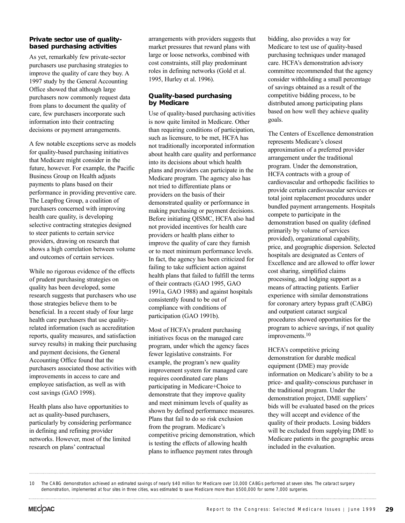#### **Private sector use of qualitybased purchasing activities**

As yet, remarkably few private-sector purchasers use purchasing strategies to improve the quality of care they buy. A 1997 study by the General Accounting Office showed that although large purchasers now commonly request data from plans to document the quality of care, few purchasers incorporate such information into their contracting decisions or payment arrangements.

A few notable exceptions serve as models for quality-based purchasing initiatives that Medicare might consider in the future, however. For example, the Pacific Business Group on Health adjusts payments to plans based on their performance in providing preventive care. The Leapfrog Group, a coalition of purchasers concerned with improving health care quality, is developing selective contracting strategies designed to steer patients to certain service providers, drawing on research that shows a high correlation between volume and outcomes of certain services.

While no rigorous evidence of the effects of prudent purchasing strategies on quality has been developed, some research suggests that purchasers who use those strategies believe them to be beneficial. In a recent study of four large health care purchasers that use qualityrelated information (such as accreditation reports, quality measures, and satisfaction survey results) in making their purchasing and payment decisions, the General Accounting Office found that the purchasers associated those activities with improvements in access to care and employee satisfaction, as well as with cost savings (GAO 1998).

Health plans also have opportunities to act as quality-based purchasers, particularly by considering performance in defining and refining provider networks. However, most of the limited research on plans' contractual

arrangements with providers suggests that market pressures that reward plans with large or loose networks, combined with cost constraints, still play predominant roles in defining networks (Gold et al. 1995, Hurley et al. 1996).

#### **Quality-based purchasing by Medicare**

Use of quality-based purchasing activities is now quite limited in Medicare. Other than requiring conditions of participation, such as licensure, to be met, HCFA has not traditionally incorporated information about health care quality and performance into its decisions about which health plans and providers can participate in the Medicare program. The agency also has not tried to differentiate plans or providers on the basis of their demonstrated quality or performance in making purchasing or payment decisions. Before initiating QISMC, HCFA also had not provided incentives for health care providers or health plans either to improve the quality of care they furnish or to meet minimum performance levels. In fact, the agency has been criticized for failing to take sufficient action against health plans that failed to fulfill the terms of their contracts (GAO 1995, GAO 1991a, GAO 1988) and against hospitals consistently found to be out of compliance with conditions of participation (GAO 1991b).

Most of HCFA's prudent purchasing initiatives focus on the managed care program, under which the agency faces fewer legislative constraints. For example, the program's new quality improvement system for managed care requires coordinated care plans participating in Medicare+Choice to demonstrate that they improve quality and meet minimum levels of quality as shown by defined performance measures. Plans that fail to do so risk exclusion from the program. Medicare's competitive pricing demonstration, which is testing the effects of allowing health plans to influence payment rates through

bidding, also provides a way for Medicare to test use of quality-based purchasing techniques under managed care. HCFA's demonstration advisory committee recommended that the agency consider withholding a small percentage of savings obtained as a result of the competitive bidding process, to be distributed among participating plans based on how well they achieve quality goals.

The Centers of Excellence demonstration represents Medicare's closest approximation of a preferred provider arrangement under the traditional program. Under the demonstration, HCFA contracts with a group of cardiovascular and orthopedic facilities to provide certain cardiovascular services or total joint replacement procedures under bundled payment arrangements. Hospitals compete to participate in the demonstration based on quality (defined primarily by volume of services provided), organizational capability, price, and geographic dispersion. Selected hospitals are designated as Centers of Excellence and are allowed to offer lower cost sharing, simplified claims processing, and lodging support as a means of attracting patients. Earlier experience with similar demonstrations for coronary artery bypass graft (CABG) and outpatient cataract surgical procedures showed opportunities for the program to achieve savings, if not quality improvements.10

HCFA's competitive pricing demonstration for durable medical equipment (DME) may provide information on Medicare's ability to be a price- and quality-conscious purchaser in the traditional program. Under the demonstration project, DME suppliers' bids will be evaluated based on the prices they will accept and evidence of the quality of their products. Losing bidders will be excluded from supplying DME to Medicare patients in the geographic areas included in the evaluation.

<sup>10</sup> The CABG demonstration achieved an estimated savings of nearly \$40 million for Medicare over 10,000 CABGs performed at seven sites. The cataract surgery demonstration, implemented at four sites in three cities, was estimated to save Medicare more than \$500,000 for some 7,000 surgeries.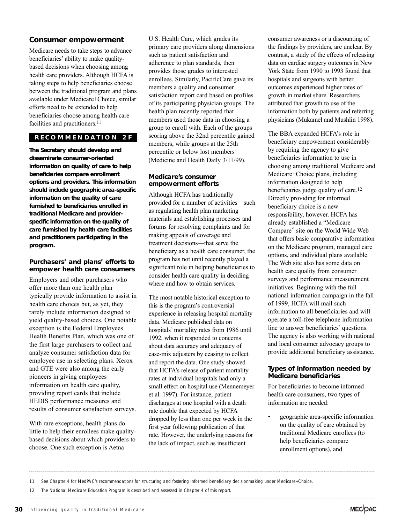#### **Consumer empowerment**

Medicare needs to take steps to advance beneficiaries' ability to make qualitybased decisions when choosing among health care providers. Although HCFA is taking steps to help beneficiaries choose between the traditional program and plans available under Medicare+Choice, similar efforts need to be extended to help beneficiaries choose among health care facilities and practitioners.<sup>11</sup>

#### **RECOMMENDA TION 2F**

**The Secretary should develop and disseminate consumer-oriented information on quality of care to help beneficiaries compare enrollment options and providers. This information should include geographic area-specific information on the quality of care furnished to beneficiaries enrolled in traditional Medicare and providerspecific information on the quality of care furnished by health care facilities and practitioners participating in the program.**

#### **Purchasers' and plans' efforts to empower health care consumers**

Employers and other purchasers who offer more than one health plan typically provide information to assist in health care choices but, as yet, they rarely include information designed to yield quality-based choices. One notable exception is the Federal Employees Health Benefits Plan, which was one of the first large purchasers to collect and analyze consumer satisfaction data for employee use in selecting plans. Xerox and GTE were also among the early pioneers in giving employees information on health care quality, providing report cards that include HEDIS performance measures and results of consumer satisfaction surveys.

With rare exceptions, health plans do little to help their enrollees make qualitybased decisions about which providers to choose. One such exception is Aetna

U.S. Health Care, which grades its primary care providers along dimensions such as patient satisfaction and adherence to plan standards, then provides those grades to interested enrollees. Similarly, PacificCare gave its members a quality and consumer satisfaction report card based on profiles of its participating physician groups. The health plan recently reported that members used those data in choosing a group to enroll with. Each of the groups scoring above the 32nd percentile gained members, while groups at the 25th percentile or below lost members (Medicine and Health Daily 3/11/99).

#### **Medicare's consumer empowerment efforts**

Although HCFA has traditionally provided for a number of activities—such as regulating health plan marketing materials and establishing processes and forums for resolving complaints and for making appeals of coverage and treatment decisions—that serve the beneficiary as a health care consumer, the program has not until recently played a significant role in helping beneficiaries to consider health care quality in deciding where and how to obtain services.

The most notable historical exception to this is the program's controversial experience in releasing hospital mortality data. Medicare published data on hospitals' mortality rates from 1986 until 1992, when it responded to concerns about data accuracy and adequacy of case-mix adjusters by ceasing to collect and report the data. One study showed that HCFA's release of patient mortality rates at individual hospitals had only a small effect on hospital use (Mennemeyer et al. 1997). For instance, patient discharges at one hospital with a death rate double that expected by HCFA dropped by less than one per week in the first year following publication of that rate. However, the underlying reasons for the lack of impact, such as insufficient

consumer awareness or a discounting of the findings by providers, are unclear. By contrast, a study of the effects of releasing data on cardiac surgery outcomes in New York State from 1990 to 1993 found that hospitals and surgeons with better outcomes experienced higher rates of growth in market share. Researchers attributed that growth to use of the information both by patients and referring physicians (Mukamel and Mushlin 1998).

The BBA expanded HCFA's role in beneficiary empowerment considerably by requiring the agency to give beneficiaries information to use in choosing among traditional Medicare and Medicare+Choice plans, including information designed to help beneficiaries judge quality of care.<sup>12</sup> Directly providing for informed beneficiary choice is a new responsibility, however. HCFA has already established a "Medicare Compare" site on the World Wide Web that offers basic comparative information on the Medicare program, managed care options, and individual plans available. The Web site also has some data on health care quality from consumer surveys and performance measurement initiatives. Beginning with the full national information campaign in the fall of 1999, HCFA will mail such information to all beneficiaries and will operate a toll-free telephone information line to answer beneficiaries' questions. The agency is also working with national and local consumer advocacy groups to provide additional beneficiary assistance.

#### **Types of information needed by Medicare beneficiaries**

For beneficiaries to become informed health care consumers, two types of information are needed:

• geographic area-specific information on the quality of care obtained by traditional Medicare enrollees (to help beneficiaries compare enrollment options), and

```
11 See Chapter 4 for MedPAC's recommendations for structuring and fostering informed beneficiary decisionmaking under Medicare+Choice.
```
12 The National Medicare Education Program is described and assessed in Chapter 4 of this report.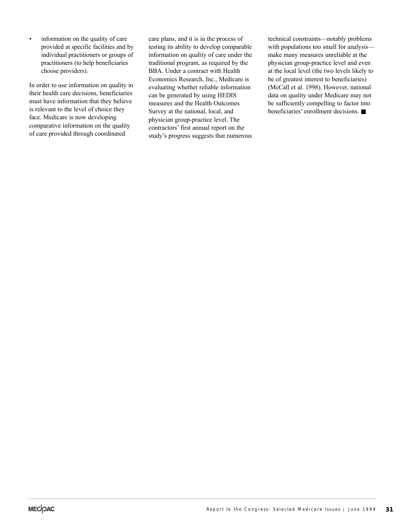• information on the quality of care provided at specific facilities and by individual practitioners or groups of practitioners (to help beneficiaries choose providers).

In order to use information on quality in their health care decisions, beneficiaries must have information that they believe is relevant to the level of choice they face. Medicare is now developing comparative information on the quality of care provided through coordinated

care plans, and it is in the process of testing its ability to develop comparable information on quality of care under the traditional program, as required by the BBA. Under a contract with Health Economics Research, Inc., Medicare is evaluating whether reliable information can be generated by using HEDIS measures and the Health Outcomes Survey at the national, local, and physician group-practice level. The contractors' first annual report on the study's progress suggests that numerous

technical constraints—notably problems with populations too small for analysis make many measures unreliable at the physician group-practice level and even at the local level (the two levels likely to be of greatest interest to beneficiaries) (McCall et al. 1998). However, national data on quality under Medicare may not be sufficiently compelling to factor into beneficiaries' enrollment decisions. ■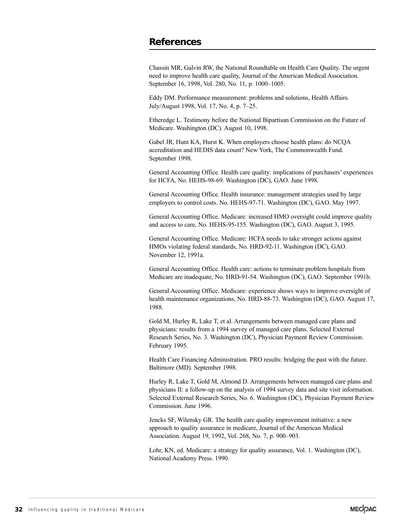# **References**

Chassin MR, Galvin RW, the National Roundtable on Health Care Quality. The urgent need to improve health care quality, Journal of the American Medical Association. September 16, 1998, Vol. 280, No. 11, p. 1000–1005.

Eddy DM. Performance measurement: problems and solutions, Health Affairs. July/August 1998, Vol. 17, No. 4, p. 7–25.

Etheredge L. Testimony before the National Bipartisan Commission on the Future of Medicare. Washington (DC). August 10, 1998.

Gabel JR, Hunt KA, Hurst K. When employers choose health plans: do NCQA accreditation and HEDIS data count? New York, The Commonwealth Fund. September 1998.

General Accounting Office. Health care quality: implications of purchasers' experiences for HCFA, No. HEHS-98-69. Washington (DC), GAO. June 1998.

General Accounting Office. Health insurance: management strategies used by large employers to control costs. No. HEHS-97-71. Washington (DC), GAO. May 1997.

General Accounting Office. Medicare: increased HMO oversight could improve quality and access to care, No. HEHS-95-155. Washington (DC), GAO. August 3, 1995.

General Accounting Office. Medicare: HCFA needs to take stronger actions against HMOs violating federal standards, No. HRD-92-11. Washington (DC), GAO. November 12, 1991a.

General Accounting Office. Health care: actions to terminate problem hospitals from Medicare are inadequate, No. HRD-91-54. Washington (DC), GAO. September 1991b.

General Accounting Office. Medicare: experience shows ways to improve oversight of health maintenance organizations, No. HRD-88-73. Washington (DC), GAO. August 17, 1988.

Gold M, Hurley R, Lake T, et al. Arrangements between managed care plans and physicians: results from a 1994 survey of managed care plans. Selected External Research Series, No. 3. Washington (DC), Physician Payment Review Commission. February 1995.

Health Care Financing Administration. PRO results: bridging the past with the future. Baltimore (MD). September 1998.

Hurley R, Lake T, Gold M, Almond D. Arrangements between managed care plans and physicians II: a follow-up on the analysis of 1994 survey data and site visit information. Selected External Research Series, No. 6. Washington (DC), Physician Payment Review Commission. June 1996.

Jencks SF, Wilensky GR. The health care quality improvement initiative: a new approach to quality assurance in medicare, Journal of the American Medical Association. August 19, 1992, Vol. 268, No. 7, p. 900–903.

Lohr, KN, ed. Medicare: a strategy for quality assurance, Vol. 1. Washington (DC), National Academy Press. 1990.